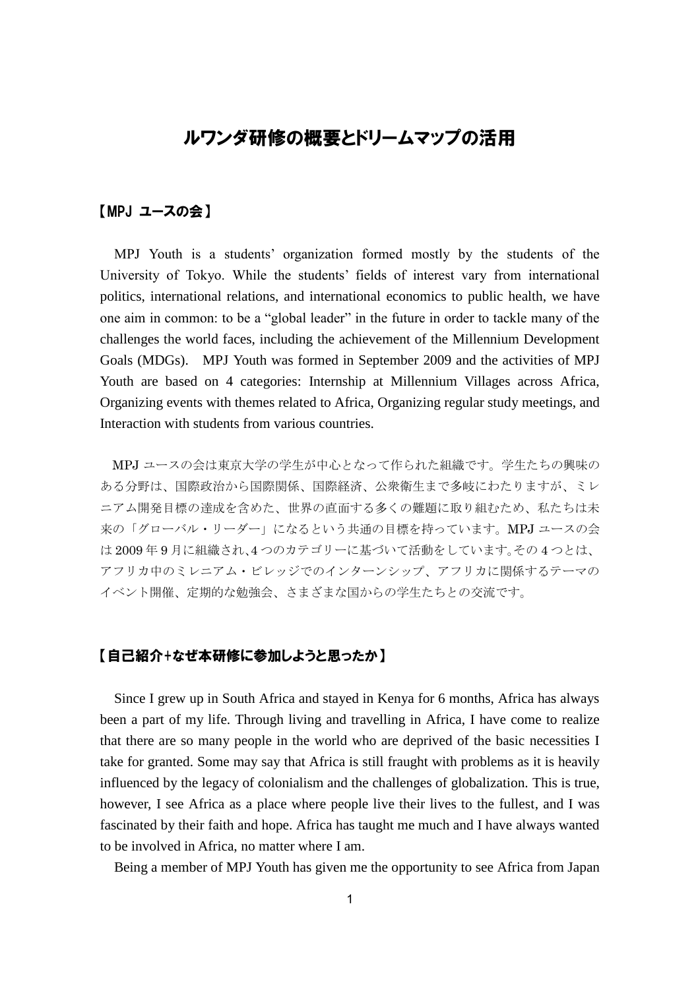# ルワンダ研修の概要とドリームマップの活用

### 【MPJ ユースの会】

MPJ Youth is a students' organization formed mostly by the students of the University of Tokyo. While the students' fields of interest vary from international politics, international relations, and international economics to public health, we have one aim in common: to be a "global leader" in the future in order to tackle many of the challenges the world faces, including the achievement of the Millennium Development Goals (MDGs). MPJ Youth was formed in September 2009 and the activities of MPJ Youth are based on 4 categories: Internship at Millennium Villages across Africa, Organizing events with themes related to Africa, Organizing regular study meetings, and Interaction with students from various countries.

MPJ ユースの会は東京大学の学生が中心となって作られた組織です。学生たちの興味の ある分野は、国際政治から国際関係、国際経済、公衆衛生まで多岐にわたりますが、ミレ ニアム開発目標の達成を含めた、世界の直面する多くの難題に取り組むため、私たちは未 来の「グローバル・リーダー」になるという共通の目標を持っています。MPJ ユースの会 は 2009 年 9 月に組織され、4 つのカテゴリーに基づいて活動をしています。その 4 つとは、 アフリカ中のミレニアム・ビレッジでのインターンシップ、アフリカに関係するテーマの イベント開催、定期的な勉強会、さまざまな国からの学生たちとの交流です。

#### 【自己紹介+なぜ本研修に参加しようと思ったか】

Since I grew up in South Africa and stayed in Kenya for 6 months, Africa has always been a part of my life. Through living and travelling in Africa, I have come to realize that there are so many people in the world who are deprived of the basic necessities I take for granted. Some may say that Africa is still fraught with problems as it is heavily influenced by the legacy of colonialism and the challenges of globalization. This is true, however, I see Africa as a place where people live their lives to the fullest, and I was fascinated by their faith and hope. Africa has taught me much and I have always wanted to be involved in Africa, no matter where I am.

Being a member of MPJ Youth has given me the opportunity to see Africa from Japan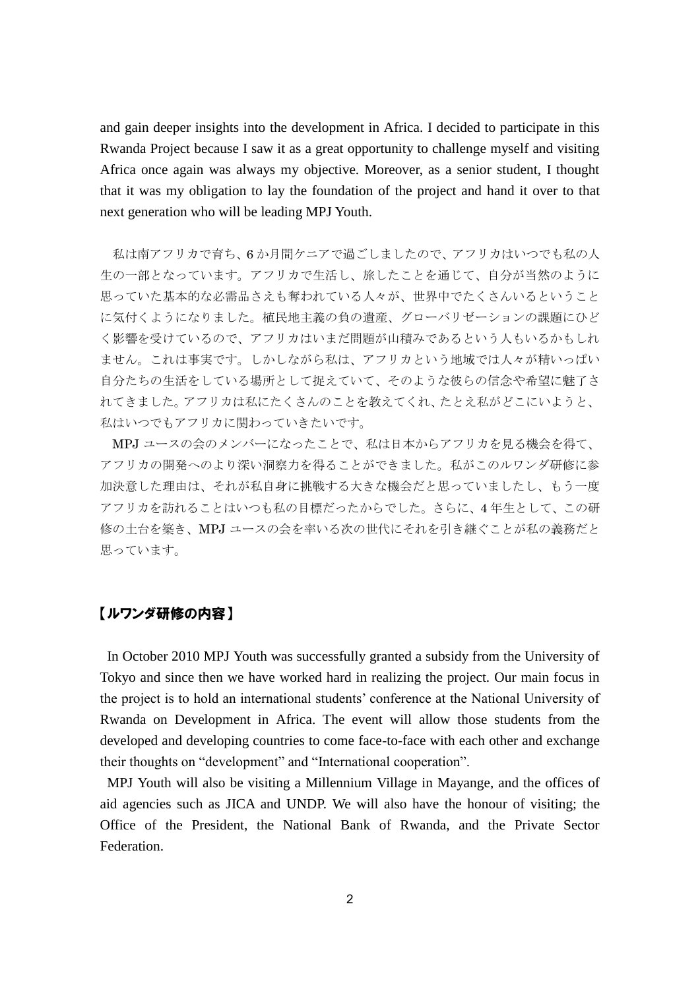and gain deeper insights into the development in Africa. I decided to participate in this Rwanda Project because I saw it as a great opportunity to challenge myself and visiting Africa once again was always my objective. Moreover, as a senior student, I thought that it was my obligation to lay the foundation of the project and hand it over to that next generation who will be leading MPJ Youth.

私は南アフリカで育ち、6 か月間ケニアで過ごしましたので、アフリカはいつでも私の人 生の一部となっています。アフリカで生活し、旅したことを通じて、自分が当然のように 思っていた基本的な必需品さえも奪われている人々が、世界中でたくさんいるということ に気付くようになりました。植民地主義の負の遺産、グローバリゼーションの課題にひど く影響を受けているので、アフリカはいまだ問題が山積みであるという人もいるかもしれ ません。これは事実です。しかしながら私は、アフリカという地域では人々が精いっぱい 自分たちの生活をしている場所として捉えていて、そのような彼らの信念や希望に魅了さ れてきました。アフリカは私にたくさんのことを教えてくれ、たとえ私がどこにいようと、 私はいつでもアフリカに関わっていきたいです。

MPJ ユースの会のメンバーになったことで、私は日本からアフリカを見る機会を得て、 アフリカの開発へのより深い洞察力を得ることができました。私がこのルワンダ研修に参 加決意した理由は、それが私自身に挑戦する大きな機会だと思っていましたし、もう一度 アフリカを訪れることはいつも私の目標だったからでした。さらに、4 年生として、この研 修の土台を築き、MPJ ユースの会を率いる次の世代にそれを引き継ぐことが私の義務だと 思っています。

#### 【ルワンダ研修の内容】

In October 2010 MPJ Youth was successfully granted a subsidy from the University of Tokyo and since then we have worked hard in realizing the project. Our main focus in the project is to hold an international students' conference at the National University of Rwanda on Development in Africa. The event will allow those students from the developed and developing countries to come face-to-face with each other and exchange their thoughts on "development" and "International cooperation".

MPJ Youth will also be visiting a Millennium Village in Mayange, and the offices of aid agencies such as JICA and UNDP. We will also have the honour of visiting; the Office of the President, the National Bank of Rwanda, and the Private Sector **Federation**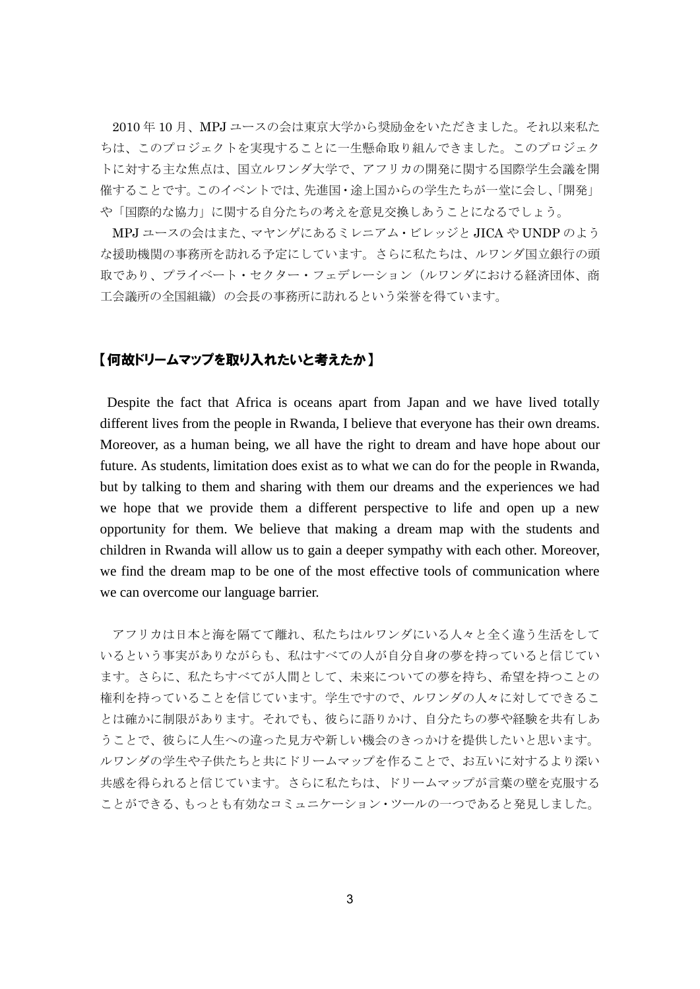2010 年 10 月、MPJ ユースの会は東京大学から奨励金をいただきました。それ以来私た ちは、このプロジェクトを実現することに一生懸命取り組んできました。このプロジェク トに対する主な焦点は、国立ルワンダ大学で、アフリカの開発に関する国際学生会議を開 催することです。このイベントでは、先進国・途上国からの学生たちが一堂に会し、「開発」 や「国際的な協力」に関する自分たちの考えを意見交換しあうことになるでしょう。

MPJ ユースの会はまた、マヤンゲにあるミレニアム・ビレッジと JICA や UNDP のよう な援助機関の事務所を訪れる予定にしています。さらに私たちは、ルワンダ国立銀行の頭 取であり、プライベート・セクター・フェデレーション(ルワンダにおける経済団体、商 工会議所の全国組織)の会長の事務所に訪れるという栄誉を得ています。

#### 【何故ドリームマップを取り入れたいと考えたか】

Despite the fact that Africa is oceans apart from Japan and we have lived totally different lives from the people in Rwanda, I believe that everyone has their own dreams. Moreover, as a human being, we all have the right to dream and have hope about our future. As students, limitation does exist as to what we can do for the people in Rwanda, but by talking to them and sharing with them our dreams and the experiences we had we hope that we provide them a different perspective to life and open up a new opportunity for them. We believe that making a dream map with the students and children in Rwanda will allow us to gain a deeper sympathy with each other. Moreover, we find the dream map to be one of the most effective tools of communication where we can overcome our language barrier.

アフリカは日本と海を隔てて離れ、私たちはルワンダにいる人々と全く違う生活をして いるという事実がありながらも、私はすべての人が自分自身の夢を持っていると信じてい ます。さらに、私たちすべてが人間として、未来についての夢を持ち、希望を持つことの 権利を持っていることを信じています。学生ですので、ルワンダの人々に対してできるこ とは確かに制限があります。それでも、彼らに語りかけ、自分たちの夢や経験を共有しあ うことで、彼らに人生への違った見方や新しい機会のきっかけを提供したいと思います。 ルワンダの学生や子供たちと共にドリームマップを作ることで、お互いに対するより深い 共感を得られると信じています。さらに私たちは、ドリームマップが言葉の壁を克服する ことができる、もっとも有効なコミュニケーション・ツールの一つであると発見しました。